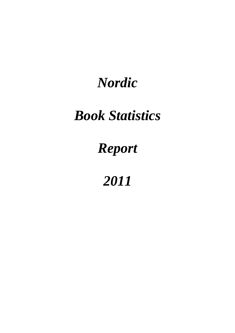# *Nordic*

# *Book Statistics*

# *Report*

# *2011*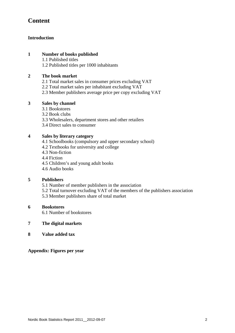# **Content**

#### **Introduction**

#### **1 Number of books published**

1.1 Published titles

1.2 Published titles per 1000 inhabitants

#### **2 The book market**

- 2.1 Total market sales in consumer prices excluding VAT
- 2.2 Total market sales per inhabitant excluding VAT
- 2.3 Member publishers average price per copy excluding VAT

#### **3 Sales by channel**

- 3.1 Bookstores
- 3.2 Book clubs
- 3.3 Wholesalers, department stores and other retailers
- 3.4 Direct sales to consumer

#### **4 Sales by literary category**

- 4.1 Schoolbooks (compulsory and upper secondary school)
- 4.2 Textbooks for university and college
- 4.3 Non-fiction
- 4.4 Fiction
- 4.5 Children's and young adult books
- 4.6 Audio books

#### **5 Publishers**

- 5.1 Number of member publishers in the association
- 5.2 Total turnover excluding VAT of the members of the publishers association
- 5.3 Member publishers share of total market

#### **6 Bookstores**

6.1 Number of bookstores

#### **7 The digital markets**

**8 Value added tax** 

**Appendix: Figures per year**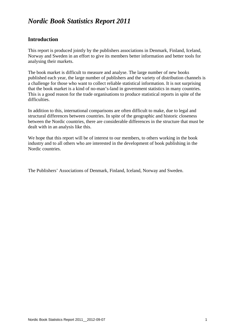# *Nordic Book Statistics Report 2011*

## **Introduction**

This report is produced jointly by the publishers associations in Denmark, Finland, Iceland, Norway and Sweden in an effort to give its members better information and better tools for analysing their markets.

The book market is difficult to measure and analyse. The large number of new books published each year, the large number of publishers and the variety of distribution channels is a challenge for those who want to collect reliable statistical information. It is not surprising that the book market is a kind of no-man's-land in government statistics in many countries. This is a good reason for the trade organisations to produce statistical reports in spite of the difficulties.

In addition to this, international comparisons are often difficult to make, due to legal and structural differences between countries. In spite of the geographic and historic closeness between the Nordic countries, there are considerable differences in the structure that must be dealt with in an analysis like this.

We hope that this report will be of interest to our members, to others working in the book industry and to all others who are interested in the development of book publishing in the Nordic countries.

The Publishers' Associations of Denmark, Finland, Iceland, Norway and Sweden.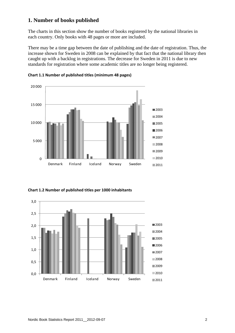## **1. Number of books published**

The charts in this section show the number of books registered by the national libraries in each country. Only books with 48 pages or more are included.

There may be a time gap between the date of publishing and the date of registration. Thus, the increase shown for Sweden in 2008 can be explained by that fact that the national library then caught up with a backlog in registrations. The decrease for Sweden in 2011 is due to new standards for registration where some academic titles are no longer being registered.





**Chart 1.2 Number of published titles per 1000 inhabitants**

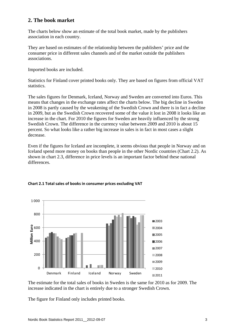## **2. The book market**

The charts below show an estimate of the total book market, made by the publishers association in each country.

They are based on estimates of the relationship between the publishers' price and the consumer price in different sales channels and of the market outside the publishers associations.

Imported books are included.

Statistics for Finland cover printed books only. They are based on figures from official VAT statistics.

The sales figures for Denmark, Iceland, Norway and Sweden are converted into Euros. This means that changes in the exchange rates affect the charts below. The big decline in Sweden in 2008 is partly caused by the weakening of the Swedish Crown and there is in fact a decline in 2009, but as the Swedish Crown recovered some of the value it lost in 2008 it looks like an increase in the chart. For 2010 the figures for Sweden are heavily influenced by the strong Swedish Crown. The difference in the currency value between 2009 and 2010 is about 15 percent. So what looks like a rather big increase in sales is in fact in most cases a slight decrease.

Even if the figures for Iceland are incomplete, it seems obvious that people in Norway and on Iceland spend more money on books than people in the other Nordic countries (Chart 2.2). As shown in chart 2.3, difference in price levels is an important factor behind these national differences.



#### **Chart 2.1 Total sales of books in consumer prices excluding VAT**

The estimate for the total sales of books in Sweden is the same for 2010 as for 2009. The increase indicated in the chart is entirely due to a stronger Swedish Crown.

The figure for Finland only includes printed books.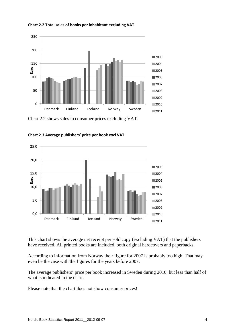



Chart 2.2 shows sales in consumer prices excluding VAT.



**Chart 2.3 Average publishers' price per book excl VAT** 

This chart shows the average net receipt per sold copy (excluding VAT) that the publishers have received. All printed books are included, both original hardcovers and paperbacks.

According to information from Norway their figure for 2007 is probably too high. That may even be the case with the figures for the years before 2007.

The average publishers' price per book increased in Sweden during 2010, but less than half of what is indicated in the chart.

Please note that the chart does not show consumer prices!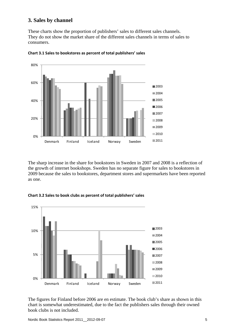### **3. Sales by channel**

These charts show the proportion of publishers' sales to different sales channels. They do not show the market share of the different sales channels in terms of sales to consumers.



**Chart 3.1 Sales to bookstores as percent of total publishers' sales**

The sharp increase in the share for bookstores in Sweden in 2007 and 2008 is a reflection of the growth of internet bookshops. Sweden has no separate figure for sales to bookstores in 2009 because the sales to bookstores, department stores and supermarkets have been reported as one.



**Chart 3.2 Sales to book clubs as percent of total publishers' sales**

The figures for Finland before 2006 are en estimate. The book club's share as shown in this chart is somewhat underestimated, due to the fact the publishers sales through their owned book clubs is not included.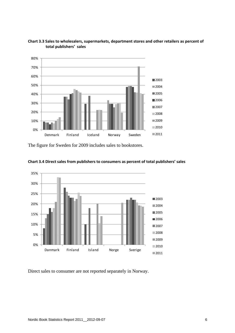



The figure for Sweden for 2009 includes sales to bookstores.





Direct sales to consumer are not reported separately in Norway.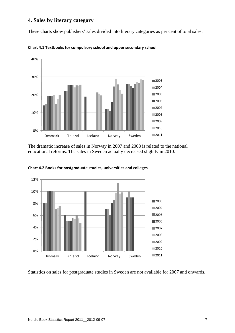## **4. Sales by literary category**

These charts show publishers' sales divided into literary categories as per cent of total sales.



**Chart 4.1 Textbooks for compulsory school and upper secondary school**

The dramatic increase of sales in Norway in 2007 and 2008 is related to the national educational reforms. The sales in Sweden actually decreased slightly in 2010.



**Chart 4.2 Books for postgraduate studies, universities and colleges**

Statistics on sales for postgraduate studies in Sweden are not available for 2007 and onwards.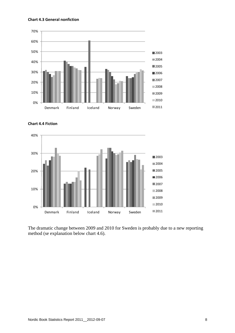#### **Chart 4.3 General nonfiction**







The dramatic change between 2009 and 2010 for Sweden is probably due to a new reporting method (se explanation below chart 4.6).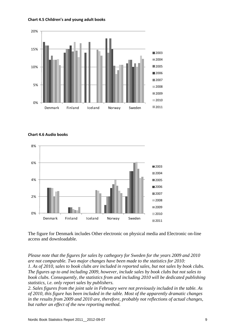



**Chart 4.6 Audio books**



The figure for Denmark includes Other electronic on physical media and Electronic on-line access and downloadable.

*Please note that the figures for sales by cathegory for Sweden for the years 2009 and 2010 are not comparable. Two major changes have been made to the statistics for 2010: 1. As of 2010, sales to book clubs are included in reported sales, but not sales by book clubs. The figures up to and including 2009, however, include sales by book clubs but not sales to book clubs. Consequently, the statistics from and including 2010 will be dedicated publishing statistics, i.e. only report sales by publishers.* 

*2. Sales figures from the joint sale in February were not previously included in the table. As of 2010, this figure has been included in the table. Most of the apparently dramatic changes in the results from 2009 and 2010 are, therefore, probably not reflections of actual changes, but rather an effect of the new reporting method.*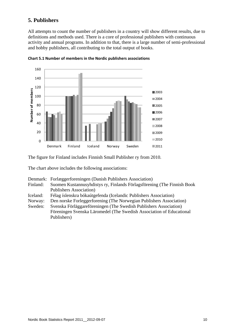## **5. Publishers**

All attempts to count the number of publishers in a country will show different results, due to definitions and methods used. There is a core of professional publishers with continuous activity and annual programs. In addition to that, there is a large number of semi-professional and hobby publishers, all contributing to the total output of books.





The figure for Finland includes Finnish Small Publisher ry from 2010.

The chart above includes the following associations:

| Denmark: Forlæggerforeningen (Danish Publishers Association) |  |
|--------------------------------------------------------------|--|
|--------------------------------------------------------------|--|

- Finland: Suomen Kustannusyhdistys ry, Finlands Förlagsförening (The Finnish Book Publishers Association)
- Iceland: Félag íslenskra bókaútgefenda (Icelandic Publishers Association)
- Norway: Den norske Forleggerforening (The Norwegian Publishers Association)

Sweden: Svenska Förläggareföreningen (The Swedish Publishers Association) Föreningen Svenska Läromedel (The Swedish Association of Educational Publishers)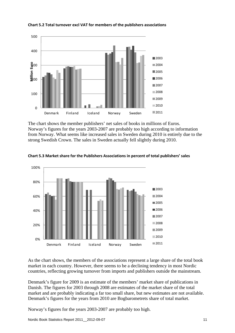

#### **Chart 5.2 Total turnover excl VAT for members of the publishers associations**

The chart shows the member publishers' net sales of books in millions of Euros. Norway's figures for the years 2003-2007 are probably too high according to information from Norway. What seems like increased sales in Sweden during 2010 is entirely due to the strong Swedish Crown. The sales in Sweden actually fell slightly during 2010.



**Chart 5.3 Market share for the Publishers Associations in percent of total publishers' sales**

As the chart shows, the members of the associations represent a large share of the total book market in each country. However, there seems to be a declining tendency in most Nordic countries, reflecting growing turnover from imports and publishers outside the mainstream.

Denmark's figure for 2009 is an estimate of the members' market share of publications in Danish. The figures for 2003 through 2008 are estimates of the market share of the total market and are probably indicating a far too small share, but new estimates are not available. Denmark's figures for the years from 2010 are Bogbarometrets share of total market.

Norway's figures for the years 2003-2007 are probably too high.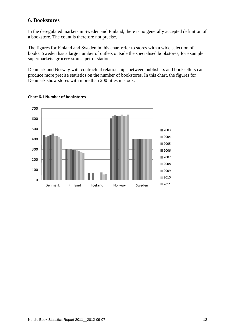### **6. Bookstores**

In the deregulated markets in Sweden and Finland, there is no generally accepted definition of a bookstore. The count is therefore not precise.

The figures for Finland and Sweden in this chart refer to stores with a wide selection of books. Sweden has a large number of outlets outside the specialised bookstores, for example supermarkets, grocery stores, petrol stations.

Denmark and Norway with contractual relationships between publishers and booksellers can produce more precise statistics on the number of bookstores. In this chart, the figures for Denmark show stores with more than 200 titles in stock.



#### **Chart 6.1 Number of bookstores**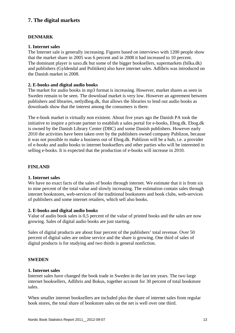# **7. The digital markets**

#### **DENMARK**

#### **1. Internet sales**

The Internet sale is generally increasing. Figures based on interviews with 1200 people show that the market share in 2005 was 6 percent and in 2008 it had increased to 10 percent. The dominant player is saxo.dk but some of the bigger booksellers, supermarkets (bilka.dk) and publishers (Gyldendal and Politiken) also have internet sales. Adlibris was introduced on the Danish market in 2008.

#### **2. E-books and digital audio books**

The market for audio books in mp3 format is increasing. However, market shares as seen in Sweden remain to be seen. The download market is very low. However an agreement between publishers and libraries, netlydbog.dk, that allows the libraries to lend out audio books as downloads show that the interest among the consumers is there.

The e-book market is virtually non existent. About five years ago the Danish PA took the initiative to inspire a private partner to establish a sales portal for e-books, Ebog.dk. Ebog.dk is owned by the Danish Library Center (DBC) and some Danish publishers. However early 2010 the activities have been taken over by the publishers owned company Publizon, because it was not possible to make a business out of Ebog.dk. Publizon will be a hub, i.e. a provider of e-books and audio books to internet booksellers and other parties who will be interested in selling e-books. It is expected that the production of e-books will increase in 2010.

#### **FINLAND**

#### **1. Internet sales**

We have no exact facts of the sales of books through internet. We estimate that it is from six to nine percent of the total value and slowly increasing. The estimation contain sales through internet bookstores, web-services of the traditional bookstores and book clubs, web-services of publishers and some internet retailers, which sell also books.

#### **2. E-books and digital audio books**

Value of audio book sales is 0,5 percent of the value of printed books and the sales are now growing. Sales of digital audio books are just starting.

Sales of digital products are about four percent of the publishers' total revenue. Over 50 percent of digital sales are online service and the share is growing. One third of sales of digital products is for studying and two thirds is general nonfiction.

#### **SWEDEN**

#### **1. Internet sales**

Internet sales have changed the book trade in Sweden in the last ten years. The two large internet booksellers, Adlibris and Bokus, together account for 30 percent of total bookstore sales.

When smaller internet booksellers are included plus the share of internet sales from regular book stores, the total share of bookstore sales on the net is well over one third.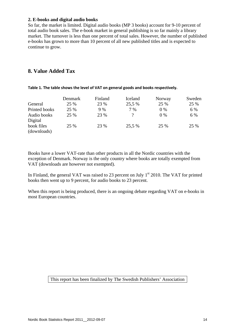#### **2. E-books and digital audio books**

So far, the market is limited. Digital audio books (MP 3 books) account for 9-10 percent of total audio book sales. The e-book market in general publishing is so far mainly a library market. The turnover is less than one percent of total sales. However, the number of published e-books has grown to more than 10 percent of all new published titles and is expected to continue to grow.

## **8. Value Added Tax**

|               | Denmark | Finland | Iceland  | Norway | Sweden |
|---------------|---------|---------|----------|--------|--------|
| General       | 25 %    | 23 %    | 25,5 %   | 25 %   | 25 %   |
| Printed books | 25 %    | 9 %     | 7 %      | $0\%$  | 6 %    |
| Audio books   | 25 %    | 23 %    | $\gamma$ | $0\%$  | 6 %    |
| Digital       |         |         |          |        |        |
| book files    | 25 %    | 23 %    | 25,5 %   | 25 %   | 25 %   |
| (downloads)   |         |         |          |        |        |

**Table 1. The table shows the level of VAT on general goods and books respectively.**

Books have a lower VAT-rate than other products in all the Nordic countries with the exception of Denmark. Norway is the only country where books are totally exempted from VAT (downloads are however not exempted).

In Finland, the general VAT was raised to 23 percent on July  $1<sup>st</sup>$  2010. The VAT for printed books then went up to 9 percent, for audio books to 23 percent.

When this report is being produced, there is an ongoing debate regarding VAT on e-books in most European countries.

#### This report has been finalized by The Swedish Publishers' Association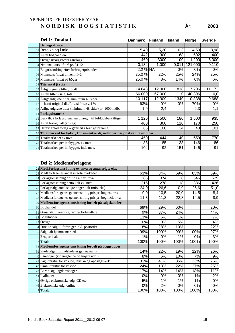## APPENDIX: FIGURES PER YEAR **N O R D I S K B O G S T A T I S T I K År: 2003**

|    | Del 1: Totaltall                                                            | <b>Danmark</b> | <b>Finland</b> | <b>Island</b> | <b>Norge</b> | <b>Sverige</b> |
|----|-----------------------------------------------------------------------------|----------------|----------------|---------------|--------------|----------------|
|    | Demografi m.v.                                                              |                |                |               |              |                |
|    | 01 Befolkning i mio.                                                        | 5,40           | 5,20           | 0,3           | 4,50         | 8,98           |
|    | 02 Antal boghandlere                                                        | 442            | 300            | 68            | 602          | 400            |
|    | 03 Øvrige utsalgssteder (anslag)                                            | 460            | 3000           | 100           | 200<br>1     | 5 0 0 0        |
|    | 04 National kurs i f.t. €pr. 31.12                                          | 0,134          | 1,000          | 0,011         | 121,000      | 0,110          |
|    | 05 Bogprisändring efter forbrugerprisindex                                  | 2,2 % NA       |                | 0%            | 0%           | $0\%$          |
|    | 06 Momssats (mva) alment nivå                                               | 25,0 %         | 22%            | 25%           | 24%          | 25%            |
|    | 07 Momssats (mva) på böger                                                  | 25,0 %         | 8%             | 14%           | 0%           | 6%             |
|    | 08 Titelantal (i stk)                                                       |                |                |               |              |                |
|    | 09 Årlig udgivne titler, totalt                                             | 14 843         | 12 000         | 1818          | 7706         | 172<br>11      |
|    | 10 Antall titler i salg, totalt                                             | 66 000         | 67 000         | 0             | 40 396       | 0,0            |
|    | 11 Årlige udgivne titler, minimum 48 sider                                  | 10 117         | 12 309         | 1340          | 10 338       | 9688           |
|    | $12$ – heraf original dk./fin./isl./no./sv. i %                             | 63%            | 0%             | 0%            | 70%          | 0%             |
|    | 13 Årlige udgivne titler (minimum 48 sider) pr. 1000 indb.                  | 1,9            | 2,4            |               | 2,3          | 1,1            |
|    | 14 Forlagsbranche                                                           |                |                |               |              |                |
|    | 15 Beskäft. i forlagsbranchen omregn. til fuldtidsbeskäftiget               | 1 1 2 0        | 1 500          | 180           | 500<br>1     | 935            |
|    | 16 Antal forlag i alt (anslag)                                              | 400            | 300            | 110           | 170          | 250            |
|    | 17 Herav: antall forlag organisert i bransjeforening                        | 66             | 100            | 34            | 43           | 101            |
|    | 18 Totalmarked for bøker, konsumentverdi, millioner nasjonal valuta ex. mva |                |                |               |              |                |
|    | 19 Totalmarkedet ex mva                                                     | 450            | 444            | 40            | 659          | 770            |
|    | 20 Totalmarked per innbygger, ex mva                                        | 83             | 85             | 133           | 146          | 86             |
| 21 | Totalmarked per innbygger, incl. mva.                                       | 104            | 92             | 151           | 146          | 91             |

| 22 Medl.forlagsomsätning ex. mva og antal solgte eks.     |      |      |       |      |      |
|-----------------------------------------------------------|------|------|-------|------|------|
| 23 Medl.forlagenes andel av totalmarkedet                 | 63%  | 84%  | 69%   | 83%  | 69%  |
| 24 Forlagsomsätning brutto i alt ex. mva.                 | 285  | 374  | 28    | 546  | 529  |
| 25 Forlagsomsätning netto i alt ex. mva.                  | 216  | 278  | 18    | 386  | 426  |
| 26 Forlagssalg, antal solgte böger i alt (mio. eks)       | 24,0 | 26,6 | 0,9   | 26,6 | 51,0 |
| 27 Medlemsforlagenes gennemsnitlig pris pr. bog ex. mva.  | 9,0  | 10,5 | 20,0  | 14,5 | 8,4  |
| 28 Medlemsforlagenes gennemsnitlig pris pr. bog incl. mva | 11,3 | 11,3 | 22,8  | 14,5 | 8,9  |
| 29 Medlemsforlagenes omsätning fordelt på salgskanaler    |      |      |       |      |      |
| 30 Boghandel                                              | 69%  | 29%  | 60%   |      | 20%  |
| 31 Grossister, varehuse, øvrige forhandlere               | 9%   | 37%  | 24%   |      | 44%  |
| 32 Bogklubber                                             | 13%  | 6%   | 1%    |      | 7%   |
| 33 Övrige                                                 | 0%   | 0%   | 5%    |      | 4%   |
| 34 Direkte salg til forbruger inkl. postordre             | 8%   | 28%  | 10%   |      | 22%  |
| 35 Salg i alt hjemmemarked                                | 99%  | 100% | 99%   | 100% | 97%  |
| 36 Eksport i alt                                          | 1%   | 0%   | 1%    | 0%   | 3%   |
| 37 Totalt                                                 | 100% | 100% | 100%  | 100% | 100% |
| 38 Medlemsforlagenes omsätning fordelt på boggrupper      |      |      |       |      |      |
| 39 Skoleböger (grundskole & gymnasium)                    | 14%  | 22%  | 19%   | 12%  | 26%  |
| 40 Läreböger (videregående og höjere udd.)                | 8%   | 6%   | 10%   | 7%   | 9%   |
| 41 Faglitteratur for voksne, leksika og oppslagsverk      | 31%  | 41%  | 35%   | 33%  | 26%  |
| 42 Skönlitteratur for voksne                              | 24%  | 13%  | 22%   | 27%  | 25%  |
| 43 Börne- og ungdomsböger                                 | 17%  | 14%  | 14%   | 18%  | 11%  |
| 44 Lydbøker                                               | 0%   | 0%   | 0%    | 1%   | 2%   |
| 45 Øvrige elektroniske udg. CD etc.                       | 5%   | 1%   | 1%    | 1%   | 0%   |
| 46 Elektroniske udg. online                               | 0%   | 2%   | $0\%$ | 0%   | 0%   |
| 47 Totalt                                                 | 100% | 100% | 100%  | 100% | 100% |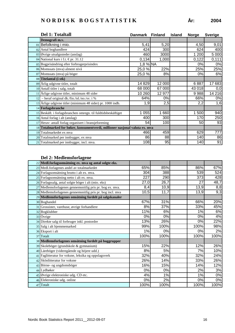| Del 1: Totaltall                                                            | <b>Danmark</b> | <b>Finland</b> | <b>Island</b> | <b>Norge</b> | <b>Sverige</b> |
|-----------------------------------------------------------------------------|----------------|----------------|---------------|--------------|----------------|
| Demografi m.v.                                                              |                |                |               |              |                |
| 01 Befolkning i mio.                                                        | 5,41           | 5,20           |               | 4,50         | 9,01           |
| 02 Antal boghandlere                                                        | 424            | 300            |               | 624          | 400            |
| 03 Øvrige utsalgssteder (anslag)                                            | 460            | 3000           |               | 1 200        | 5 0 0 0        |
| 04 National kurs i f.t. €pr. 31.12                                          | 0,134          | 1,000          |               | 0,122        | 0,111          |
| 05 Bogprisändring efter forbrugerprisindex                                  | $1,8%$ NA      |                |               | 0%           | 0%             |
| 06 Momssats (mva) alment nivå                                               | 25,0 %         | 22%            |               | 25%          | 25%            |
| 07 Momssats (mva) på böger                                                  | 25,0 %         | 8%             |               | 0%           | 6%             |
| 08 Titelantal (i stk)                                                       |                |                |               |              |                |
| 09 Årlig udgivne titler, totalt                                             | 14 8 29        | 12 000         |               | 6887         | 17 683         |
| 10 Antall titler i salg, totalt                                             | 68 000         | 67 000         |               | 43 018       | 0,0            |
| 11 Årlige udgivne titler, minimum 48 sider                                  | 10 260         | 12 977         |               | 9988         | 14 216         |
| $12$ – heraf original dk./fin./isl./no./sv. i %                             | 64%            | 0%             |               | 66%          | 0%             |
| 13 Årlige udgivne titler (minimum 48 sider) pr. 1000 indb.                  | 1,9            | 2,5            |               | 2,2          | 1,6            |
| 14 Forlagsbranche                                                           |                |                |               |              |                |
| 15 Beskäft. i forlagsbranchen omregn. til fuldtidsbeskäftiget               | 1 0 5 5        | 1 660          |               | 1 500        | 940            |
| 16 Antal forlag i alt (anslag)                                              | 400            | 300            |               | 170          | 250            |
| 17 Herav: antall forlag organisert i bransjeforening                        | 54             | 100            |               | 50           | 93             |
| 18 Totalmarked for bøker, konsumentverdi, millioner nasjonal valuta ex. mva |                |                |               |              |                |
| 19 Totalmarkedet ex mva                                                     | 466            | 459            |               | 629          | 777            |
| 20 Totalmarked per innbygger, ex mva                                        | 86             | 88             |               | 140          | 86             |
| 21 Totalmarked per innbygger, incl. mva.                                    | 108            | 95             |               | 140          | 91             |

| 22 Medl.forlagsomsätning ex. mva og antal solgte eks.     |      |      |       |      |
|-----------------------------------------------------------|------|------|-------|------|
| 23 Medl.forlagenes andel av totalmarkedet                 | 65%  | 85%  | 86%   | 67%  |
| 24 Forlagsomsätning brutto i alt ex. mva.                 | 304  | 388  | 539   | 524  |
| 25 Forlagsomsätning netto i alt ex. mva.                  | 227  | 290  | 373   | 428  |
| 26 Forlagssalg, antal solgte böger i alt (mio. eks)       | 27,0 | 26,7 | 27    | 48,7 |
| 27 Medlemsforlagenes gennemsnitlig pris pr. bog ex. mva.  | 8,4  | 10,9 | 13,9  | 8,8  |
| 28 Medlemsforlagenes gennemsnitlig pris pr. bog incl. mva | 10,5 | 11,7 | 13,9  | 9,3  |
| 29 Medlemsforlagenes omsätning fordelt på salgskanaler    |      |      |       |      |
| 30 Boghandel                                              | 67%  | 31%  | 66%   | 20%  |
| 31 Grossister, varehuse, øvrige forhandlere               | 8%   | 37%  | 33%   | 45%  |
| 32 Bogklubber                                             | 11%  | 6%   | 1%    | 6%   |
| 33 Övrige                                                 | 0%   | 0%   | 0%    | 4%   |
| 34 Direkte salg til forbruger inkl. postordre             | 13%  | 26%  | 0%    | 22%  |
| 35 Salg i alt hjemmemarked                                | 99%  | 100% | 100%  | 98%  |
| 36 Eksport i alt                                          | 1%   | 0%   | 0%    | 2%   |
| 37 Totalt                                                 | 100% | 100% | 100%  | 100% |
| 38 Medlemsforlagenes omsätning fordelt på boggrupper      |      |      |       |      |
| 39 Skoleböger (grundskole & gymnasium)                    | 15%  | 22%  | 12%   | 26%  |
| 40 Läreböger (videregående og höjere udd.)                | 8%   | 5%   | 7%    | 10%  |
| 41 Faglitteratur for voksne, leksika og oppslagsverk      | 32%  | 40%  | 32%   | 24%  |
| 42 Skönlitteratur for voksne                              | 26%  | 14%  | 33%   | 26%  |
| 43 Börne- og ungdomsböger                                 | 16%  | 15%  | 14%   | 12%  |
| 44 Lydbøker                                               | 0%   | 0%   | 2%    | 3%   |
| 45 Øvrige elektroniske udg. CD etc.                       | 4%   | 1%   | 1%    | 0%   |
| 46 Elektroniske udg. online                               | 0%   | 2%   | $0\%$ | 0%   |
| 47 Totalt                                                 | 100% | 100% | 100%  | 100% |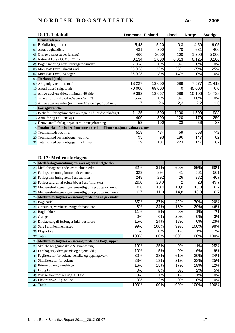|    | Del 1: Totaltall                                                            | Danmark Finland |        | <b>Island</b> | <b>Norge</b> | <b>Sverige</b> |
|----|-----------------------------------------------------------------------------|-----------------|--------|---------------|--------------|----------------|
|    | Demografi m.v.                                                              |                 |        |               |              |                |
|    | 01 Befolkning i mio.                                                        | 5,43            | 5,20   | 0,3           | 4,50         | 9,05           |
|    | 02 Antal boghandlere                                                        | 431             | 300    | 70            | 631          | 400            |
|    | 03 Øvrige utsalgssteder (anslag)                                            | 460             | 3000   | 100           | 200          | 5 0 0 0        |
|    | 04 National kurs i f.t. €pr. 31.12                                          | 0,134           | 1,000  | 0,013         | 0,125        | 0,106          |
|    | 05 Bogprisändring efter forbrugerprisindex                                  | 2,0 %           | 0%     | 0%            | 0%           | $0\%$          |
|    | 06 Momssats (mva) alment nivå                                               | 25,0 %          | 22%    | 25%           | 25%          | 25%            |
|    | 07 Momssats (mva) på böger                                                  | 25,0%           | 8%     | 14%           | 0%           | 6%             |
|    | 08 Titelantal (i stk)                                                       |                 |        |               |              |                |
|    | 09 Årlig udgivne titler, totalt                                             | 13 227          | 13 000 | 689           | 7577         | 21 413         |
|    | 10 Antall titler i salg, totalt                                             | 70 000          | 68 000 | 0             | 45 000       | 0,0            |
|    | 11 Årlige udgivne titler, minimum 48 sider                                  | 9 3 9 2         | 13 667 | 689           | 10 106       | 14738          |
| 12 | - heraf original dk./fin./isl./no./sv. i %                                  | 65%             | 0%     | 0%            | 66%          | $0\%$          |
|    | 13 Årlige udgivne titler (minimum 48 sider) pr. 1000 indb.                  | 1,7             | 2,6    | 2,3           | 2,2          | 1,6            |
|    | 14 Forlagsbranche                                                           |                 |        |               |              |                |
|    | 15 Beskäft. i forlagsbranchen omregn. til fuldtidsbeskäftiget               | 1 1 2 5         | 1 500  | 1130          | 500          | 983            |
|    | 16 Antal forlag i alt (anslag)                                              | 400             | 300    | 120           | 170          | 250            |
|    | 17 Herav: antall forlag organisert i bransjeforening                        | 53              | 100    | 38            | 56           | 88             |
|    | 18 Totalmarked for bøker, konsumentverdi, millioner nasjonal valuta ex. mva |                 |        |               |              |                |
|    | 19 Totalmarkedet ex mva                                                     | 518             | 484    | 59            | 663          | 742            |
|    | 20 Totalmarked per innbygger, ex mva                                        | 95              | 93     | 196           | 147          | 82             |
|    | 21 Totalmarked per innbygger, incl. mva.                                    | 119             | 101    | 223           | 147          | 87             |

| 22 Medl.forlagsomsätning ex. mva og antal solgte eks.     |      |      |       |      |       |
|-----------------------------------------------------------|------|------|-------|------|-------|
| 23 Medl.forlagenes andel av totalmarkedet                 | 62%  | 81%  | 69%   | 85%  | 68%   |
| 24 Forlagsomsätning brutto i alt ex. mva.                 | 323  | 394  | 41    | 561  | 501   |
| 25 Forlagsomsätning netto i alt ex. mva.                  | 248  | 292  | 26    | 382  | 407   |
| 26 Forlagssalg, antal solgte böger i alt (mio. eks)       | 29,0 | 28,0 |       | 28   | 49,7  |
| 27 Medlemsforlagenes gennemsnitlig pris pr. bog ex. mva.  | 8,6  | 10,4 | 13,0  | 13,8 | 8,2   |
| 28 Medlemsforlagenes gennemsnitlig pris pr. bog incl. mva | 10,7 | 11,3 | 14,8  | 13,8 | 8,7   |
| 29 Medlemsforlagenes omsätning fordelt på salgskanaler    |      |      |       |      |       |
| 30 Boghandel                                              | 65%  | 37%  | 42%   | 70%  | 20%   |
| 31 Grossister, varehuse, øvrige forhandlere               | 8%   | 34%  | 18%   | 29%  | 46%   |
| 32 Bogklubber                                             | 11%  | 5%   | 0%    | 1%   | 7%    |
| 33 Övrige                                                 | 0%   | 0%   | 20%   | 0%   | 3%    |
| 34 Direkte salg til forbruger inkl. postordre             | 15%  | 24%  | 18%   | 0%   | 23%   |
| 35 Salg i alt hjemmemarked                                | 99%  | 100% | 99%   | 100% | 98%   |
| 36 Eksport i alt                                          | 1%   | 0%   | 1%    | 1%   | 2%    |
| 37 Totalt                                                 | 100% | 100% | 100%  | 100% | 100%  |
| 38 Medlemsforlagenes omsätning fordelt på boggrupper      |      |      |       |      |       |
| 39 Skoleböger (grundskole & gymnasium)                    | 19%  | 25%  | 0%    | 11%  | 25%   |
| 40 Läreböger (videregående og höjere udd.)                | 10%  | 5%   | 0%    | 6%   | 9%    |
| 41 Faglitteratur for voksne, leksika og oppslagsverk      | 30%  | 38%  | 61%   | 30%  | 24%   |
| 42 Skönlitteratur for voksne                              | 23%  | 13%  | 21%   | 33%  | 25%   |
| 43 Börne- og ungdomsböger                                 | 16%  | 15%  | 17%   | 18%  | 12%   |
| 44 Lydbøker                                               | 0%   | 0%   | $0\%$ | 2%   | 5%    |
| 45 Øvrige elektroniske udg. CD etc.                       | 3%   | 1%   | 1%    | 1%   | $0\%$ |
| 46 Elektroniske udg. online                               | 0%   | 2%   | 0%    | 0%   | 0%    |
| 47 Totalt                                                 | 100% | 100% | 100%  | 100% | 100%  |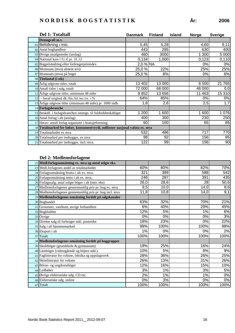| År: | 200 |
|-----|-----|
|     |     |

| Del 1: Totaltall                                                            | <b>Danmark</b> | <b>Finland</b> | <b>Island</b> | <b>Norge</b> | <b>Sverige</b> |
|-----------------------------------------------------------------------------|----------------|----------------|---------------|--------------|----------------|
| Demografi m.v.                                                              |                |                |               |              |                |
| 01 Befolkning i mio.                                                        | 5,45           | 5,28           |               | 4,60         | 9,11           |
| 02 Antal boghandlere                                                        | 443            | 295            |               | 630          | 400            |
| 03 Øvrige utsalgssteder (anslag)                                            | 460            | 3000           |               | 1 300        | 5 000          |
| 04 National kurs i f.t. €pr. 31.12                                          | 0,134          | 1,000          |               | 0,123        | 0,110          |
| 05 Bogprisändring efter forbrugerprisindex                                  | $2,0%$ NA      |                |               | 0%           | 0%             |
| 06 Momssats (mva) alment nivå                                               | 25,0 %         | 22%            |               | 25%          | 25%            |
| 07 Momssats (mva) på böger                                                  | 25,0 %         | 8%             |               | 0%           | 6%             |
| 08 Titelantal (i stk)                                                       |                |                |               |              |                |
| 09 Årlig udgivne titler, totalt                                             | 13 402         | 13 000         |               | 8 500        | 21 765         |
| 10 Antall titler i salg, totalt                                             | 72 000         | 68 000         |               | 48 000       | 0,0            |
| 11 Årlige udgivne titler, minimum 48 sider                                  | 9852           | 13 656         |               | 11 463       | 15 310         |
| 12 - heraf original dk./fin./isl./no./sv. i %                               | 64%            | 85%            |               | 0%           | 0%             |
| 13 Årlige udgivne titler (minimum 48 sider) pr. 1000 indb.                  | 1,8            | 2,6            |               | 2,5          | 1,7            |
| 14 Forlagsbranche                                                           |                |                |               |              |                |
| 15 Beskäft. i forlagsbranchen omregn. til fuldtidsbeskäftiget               | 200            | 600<br>1       |               | 1 600        | 1 0 7 6        |
| 16 Antal forlag i alt (anslag)                                              | 400            | 300            |               | 230          | 250            |
| 17 Herav: antall forlag organisert i bransjeforening                        | 60             | 100            |               | 65           | 85             |
| 18 Totalmarked for bøker, konsumentverdi, millioner nasjonal valuta ex. mva |                |                |               |              |                |
| 19 Totalmarkedet ex mva                                                     | 532            | 486            |               | 717          | 770            |
| 20 Totalmarked per innbygger, ex mva                                        | 98             | 92             |               | 156          | 85             |
| 21 Totalmarked per innbygger, incl. mva.                                    | 122            | 99             |               | 156          | 90             |

| 22 Medl.forlagsomsätning ex. mva og antal solgte eks.     |      |      |      |      |
|-----------------------------------------------------------|------|------|------|------|
| 23 Medl.forlagenes andel av totalmarkedet                 | 60%  | 80%  | 82%  | 70%  |
| 24 Forlagsomsätning brutto i alt ex. mva.                 | 321  | 389  | 588  | 542  |
| 25 Forlagsomsätning netto i alt ex. mva.                  | 246  | 287  | 391  | 435  |
| 26 Forlagssalg, antal solgte böger i alt (mio. eks)       | 26,0 | 28,6 | 28   | 50,6 |
| 27 Medlemsforlagenes gennemsnitlig pris pr. bog ex. mva.  | 9,5  | 10,0 | 14,0 | 8,6  |
| 28 Medlemsforlagenes gennemsnitlig pris pr. bog incl. mva | 11,8 | 10,8 | 14,0 | 9,1  |
| 29 Medlemsforlagenes omsätning fordelt på salgskanaler    |      |      |      |      |
| 30 Boghandel                                              | 63%  | 32%  | 70%  | 21%  |
| 31 Grossister, varehuse, øvrige forhandlere               | 6%   | 40%  | 29%  | 45%  |
| 32 Bogklubber                                             | 12%  | 5%   | 1%   | 6%   |
| 33 Övrige                                                 | 0%   | 0%   | 0%   | 3%   |
| 34 Direkte salg til forbruger inkl. postordre             | 18%  | 23%  | 0%   | 22%  |
| 35 Salg i alt hjemmemarked                                | 99%  | 100% | 100% | 98%  |
| 36 Eksport i alt                                          | 1%   | 0%   | 0%   | 2%   |
| 37 Totalt                                                 | 100% | 100% | 100% | 100% |
| 38 Medlemsforlagenes omsätning fordelt på boggrupper      |      |      |      |      |
| 39 Skoleböger (grundskole & gymnasium)                    | 19%  | 25%  | 16%  | 24%  |
| 40 Läreböger (videregående og höjere udd.)                | 10%  | 5%   | 8%   | 9%   |
| 41 Faglitteratur for voksne, leksika og oppslagsverk      | 28%  | 36%  | 26%  | 25%  |
| 42 Skönlitteratur for voksne                              | 26%  | 13%  | 31%  | 26%  |
| 43 Börne- og ungdomsböger                                 | 12%  | 16%  | 15%  | 10%  |
| 44 Lydbøker                                               | 3%   | 1%   | 3%   | 5%   |
| 45 Øvrige elektroniske udg. CD etc.                       | 2%   | 1%   | 1%   | 0%   |
| 46 Elektroniske udg. online                               | 0%   | 3%   | 0%   | 0%   |
| 47 Totalt                                                 | 100% | 100% | 100% | 100% |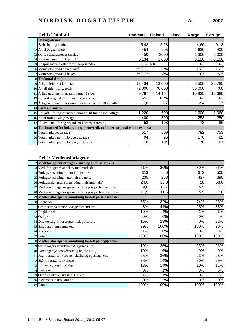|    | Del 1: Totaltall                                                            | Danmark Finland |        | <b>Island</b> | <b>Norge</b> | <b>Sverige</b> |
|----|-----------------------------------------------------------------------------|-----------------|--------|---------------|--------------|----------------|
|    | Demografi m.v.                                                              |                 |        |               |              |                |
|    | 01 Befolkning i mio.                                                        | 5,48            | 5,28   |               | 4,60         | 9,18           |
|    | 02 Antal boghandlere                                                        | 454             | 295    |               | 630          | 400            |
|    | $03$ Øvrige utsalgssteder (anslag)                                          | 450             | 3000   |               | 1 300        | 5 000          |
|    | 04 National kurs i f.t. €pr. 31.12                                          | 0,134           | 1,000  |               | 0,126        | 0,106          |
|    | 05 Bogprisändring efter forbrugerprisindex                                  | 2,0 % NA        |        |               | 0%           | 0%             |
|    | 06 Momssats (mva) alment nivå                                               | 25,0%           | 22%    |               | 25%          | 25%            |
|    | 07 Momssats (mva) på böger                                                  | 25,0 %          | 8%     |               | 0%           | 6%             |
|    | 08 Titelantal (i stk)                                                       |                 |        |               |              |                |
|    | 09 Årlig udgivne titler, totalt                                             | 13 4 34         | 13 000 |               | 8 500        | 22 785         |
|    | 10 Antall titler i salg, totalt                                             | 72 000          | 70 000 |               | 50 000       | 0,0            |
|    | 11 Årlige udgivne titler, minimum 48 sider                                  | 9787            | 14 154 |               | 10 835       | 15 680         |
| 12 | - heraf original dk./fin./isl./no./sv. i %                                  | 62%             | 85%    |               | 0%           | 0%             |
|    | 13 Årlige udgivne titler (minimum 48 sider) pr. 1000 indb.                  | 1,8             | 2,7    |               | 2,4          | 1,7            |
|    | 14 Forlagsbranche                                                           |                 |        |               |              |                |
|    | 15 Beskäft. i forlagsbranchen omregn. til fuldtidsbeskäftiget               | 1 2 2 0         | 1 600  |               | 1 600        | 1 060          |
|    | 16 Antal forlag i alt (anslag)                                              | 400             | 300    |               | 258          | 250            |
|    | 17 Herav: antall forlag organisert i bransjeforening                        | 58              | 103    |               | 73           | 86             |
|    | 18 Totalmarked for bøker, konsumentverdi, millioner nasjonal valuta ex. mva |                 |        |               |              |                |
|    | 19 Totalmarkedet ex mva                                                     | 517             | 509    |               | 782          | 753            |
|    | 20 Totalmarked per innbygger, ex mva                                        | 94              | 96     |               | 170          | 82             |
|    | 21 Totalmarked per innbygger, incl. mva.                                    | 118             | 104    |               | 170          | 87             |

|    | 22 Medl.forlagsomsätning ex. mva og antal solgte eks.     |      |      |      |            |
|----|-----------------------------------------------------------|------|------|------|------------|
|    | 23 Medl.forlagenes andel av totalmarkedet                 | 61%  | 80%  | 80%  | 66%        |
|    | 24 Forlagsomsätning brutto i alt ex. mva.                 | 313  | 0    | 672  | 500        |
|    | 25 Forlagsomsätning netto i alt ex. mva.                  | 235  | 288  | 437  | 390        |
|    | 26 Forlagssalg, antal solgte böger i alt (mio. eks)       | 24,6 | 26,8 |      | 53,0<br>28 |
|    | 27 Medlemsforlagenes gennemsnitlig pris pr. bog ex. mva.  | 9,6  | 10,7 | 15,5 | 7,3        |
|    | 28 Medlemsforlagenes gennemsnitlig pris pr. bog incl. mva | 11,9 | 11,6 | 15,5 | 7,8        |
|    | 29 Medlemsforlagenes omsätning fordelt på salgskanaler    |      |      |      |            |
|    | 30 Boghandel                                              | 65%  | 32%  | 74%  | 28%        |
|    | 31 Grossister, varehuse, øvrige forhandlere               | 8%   | 41%  | 25%  | 38%        |
| 32 | Bogklubber                                                | 10%  | 4%   | 1%   | 6%         |
|    | 33 Övrige                                                 | 0%   | 0%   | 0%   | 4%         |
|    | 34 Direkte salg til forbruger inkl. postordre             | 16%  | 23%  | 0%   | 22%        |
|    | 35 Salg i alt hjemmemarked                                | 99%  | 100% | 100% | 98%        |
|    | 36 Eksport i alt                                          | 1%   | 0%   | 0%   | 3%         |
|    | 37 Totalt                                                 | 100% | 100% | 100% | 100%       |
|    | 38 Medlemsforlagenes omsätning fordelt på boggrupper      |      |      |      |            |
|    | 39 Skoleböger (grundskole & gymnasium)                    | 19%  | 25%  | 25%  | 26%        |
|    | 40 Läreböger (videregående og höjere udd.)                | 10%  | 6%   | 9%   | $0\%$      |
|    | 41 Faglitteratur for voksne, leksika og oppslagsverk      | 25%  | 36%  | 23%  | 28%        |
|    | 42 Skönlitteratur for voksne                              | 28%  | 14%  | 30%  | 29%        |
|    | 43 Börne- og ungdomsböger                                 | 13%  | 14%  | 10%  | 11%        |
|    | 44 Lydbøker                                               | 3%   | 1%   | 3%   | 6%         |
|    | 45 Øvrige elektroniske udg. CD etc.                       | 1%   | 1%   | 0%   | 1%         |
|    | 46 Elektroniske udg. online                               | 0%   | 2%   | 0%   | $0\%$      |
|    | 47 Totalt                                                 | 100% | 100% | 100% | 100%       |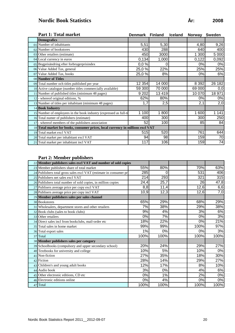# **Nordic Book Statistics År: 2008**

|    | <b>Part 1: Total market</b>                                                     | Denmark | <b>Finland</b> | <b>Iceland</b> | <b>Norway</b> | <b>Sweden</b> |
|----|---------------------------------------------------------------------------------|---------|----------------|----------------|---------------|---------------|
|    | <b>Demografics</b>                                                              |         |                |                |               |               |
|    | 01 Number of inhabitants                                                        | 5,51    | 5,30           |                | 4,80          | 9,26          |
|    | 02 Number of bookstores                                                         | 430     | 288            |                | 640           | 400           |
|    | 03 Other retailers (estimate)                                                   | 450     | 3000           |                | 1 300         | 5 000         |
|    | 04 Local currency in euros                                                      | 0,134   | 1,000          |                | 0,122         | 0,092         |
|    | 05 Bogprisändring efter forbrugerprisindex                                      | 0,0%    | 0              |                | 0%            | 0%            |
|    | 06 Value Added Tax, general                                                     | 25,0 %  | 22%            |                | 25%           | 25%           |
|    | 07 Value Added Tax, books                                                       | 25,0 %  | 8%             |                | 0%            | 6%            |
|    | 08 Number of Titles                                                             |         |                |                |               |               |
|    | 09 Total number och titles published per year                                   | 12 354  | 14 000         |                | 8 3 9 2       | 26 182        |
|    | 10 Active catalogue (number titles commercially available)                      | 59 300  | 70 000         |                | 69 000        | 0,0           |
|    | 11 Number of published titles (minimum 48 pages)                                | 9 2 0 2 | 13 4 19        |                | 10 070        | 18 971        |
|    | $12$ - whereof original editions, %                                             | 62%     | 80%            |                | 0%            | 0%            |
|    | 13 Number of titles per inhabitant (minimum 48 pages)                           | 1,7     | 2,5            |                | 2,1           | 2,0           |
|    | 14 Book Industry                                                                |         |                |                |               |               |
|    | 15 Number of employees in the book industry (expressed as full-ti               | 1 100   | 800            |                | 1 600         | 1 1 4 1       |
|    | 16 Total numer of publishers (estimate)                                         | 400     | 300            |                | 300           | 250           |
| 17 | - whereof members of the publishers association                                 | 52      | 100            |                | 85            | 84            |
|    | 18 Total market for books, consumer prices, local currency in millions excl VAT |         |                |                |               |               |
|    | 19 Total market excl VAT                                                        | 515     | 520            |                | 761           | 644           |
|    | 20 Total market per inhabitant excl VAT                                         | 94      | 98             |                | 159           | 70            |
|    | 21 Total market per inhabitant incl VAT                                         | 117     | 106            |                | 159           | 74            |

#### **Part 2: Member publishers**

| 22 Member publishers sales excl VAT and number of sold copies     |      |      |      |       |
|-------------------------------------------------------------------|------|------|------|-------|
| 23 Member publishers share of total market                        | 55%  | 80%  | 70%  | 63%   |
| 24 Publishers total gross sales excl VAT (estimate in consumer pr | 285  | 0    | 531  | 406   |
| 25 Publishers net sales excl VAT                                  | 214  | 293  | 321  | 315   |
| 26 Publishers total number of sold copies, in million copies      | 24,4 | 25,7 | 26   | 47,8  |
| 27 Publisers average price per copy excl VAT                      | 8,8  | 11,4 | 12,6 | 6,6   |
| 28 Publisers average price per copy incl VAT                      | 10,9 | 12,3 | 12,6 | 7,0   |
| 29 Member publishers sales per sales channel                      |      |      |      |       |
| 30 Bookstores                                                     | 65%  | 29%  | 68%  | 29%   |
| 31 Wholesalers, department stores and other retailers             | 7%   | 38%  | 29%  | 38%   |
| 32 Book clubs (sales to book clubs)                               | 9%   | 4%   | 3%   | 6%    |
| 33 Other retailers                                                | 0%   | 7%   | 0%   | 3%    |
| 34 Direct sales incl from bookclubs, mail-order etc               | 18%  | 22%  | 0%   | 21%   |
| 35 Total sales in home market                                     | 99%  | 99%  | 100% | 97%   |
| 36 Total export sales                                             | 1%   | 0%   | 0%   | 3%    |
| 37 Total                                                          | 100% | 100% | 100% | 100%  |
| 38 Member publishers sales per category                           |      |      |      |       |
| 39 Schoolbooks (compulsory and upper secondary school)            | 20%  | 24%  | 29%  | 27%   |
| 40 Textbooks for university and college                           | 10%  | 5%   | 10%  | $0\%$ |
| 41 Non-fiction                                                    | 27%  | 35%  | 18%  | 30%   |
| 42 Fiction                                                        | 28%  | 14%  | 29%  | 27%   |
| 43 Children's and young adult books                               | 12%  | 17%  | 8%   | 10%   |
| 44 Audio book                                                     | 3%   | 0%   | 4%   | 6%    |
| 45 Other electronic editions, CD etc                              | 0%   | 1%   | 2%   | $0\%$ |
| 46 Electronic editions online                                     | 0%   | 4%   | 0%   | 0%    |
| 47 Total                                                          | 100% | 100% | 100% | 100%  |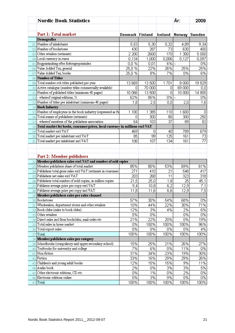|              | <b>Nordic Book Statistics</b>                                                           |                 |                   |         | År:            | 2009            |
|--------------|-----------------------------------------------------------------------------------------|-----------------|-------------------|---------|----------------|-----------------|
|              |                                                                                         |                 |                   |         |                |                 |
|              | Part 1: Total market                                                                    | Denmark Finland |                   | Iceland |                | Norway Sweden   |
|              | Demografics                                                                             |                 |                   |         |                |                 |
| 01           | Number of inhabitants                                                                   | 5,53            | 5,30              | 0,32    | 4,89           | 9,34            |
| 02           | Number of bookstores                                                                    | 430             | 287               | 73      | 630            | 400             |
| 03           | Other retailers (estimate)                                                              | 2 200           | 2600              | 170     | 1 300          | 5000            |
| 04           | Local currency in euros                                                                 | 0,134           | 1,000             | 0,006   | 0,127          | 0,097           |
| 05           | Bogprisändring efter forbrugerprisindex                                                 | 0,0%            | 0,01              | 6% --   |                | 0%              |
| 06           | Value Added Tax, general                                                                | 25,0%           | 22%               | 26%     | 25%            | 25%             |
| 07           | Value Added Tax, books                                                                  | 25,0%           | 8%                | 7%      | 0%             | 6%              |
| 08           | Number of Titles                                                                        |                 |                   |         |                |                 |
| 09           | Total number och titles published per year                                              | 13 669          | 13 500            | 1701    | 8000           | 19829           |
| 10           | Active catalogue (number titles commercially available)                                 | Ο               | 70 000            | 0       | 69 000         | [0,0]           |
| $\mathbf{1}$ | Number of published titles (minimum 48 pages)                                           | 10 066          | 13 500            | 0       | 10 000         | 14 805          |
| 12           | - whereof original editions, %                                                          | 62%             | 85%               | 0%      | $\overline{a}$ | 0%              |
| 13           | Number of titles per inhabitant (minimum 48 pages)                                      | 1,8             | 2,5               | 0,0     | 2,0            | 1,6             |
| 14           | <b>Book Industry</b>                                                                    |                 |                   |         |                |                 |
| 15           | Number of employees in the book industry (expressed as fu                               | 1 100           | 1 3 8 5           | 110     | 1 600          | 0               |
| 16           | Total numer of publishers (estimate)                                                    | Ο               | 300               | 80      | 300            | 250             |
| 17           | - whereof members of the publishers association                                         | 64              | 103               | 37      | 89             | 82              |
| 18           | Total market for books, consumer prices, local currency in millions excl VAT            |                 |                   |         |                |                 |
| 19           | Total market excl VAT                                                                   | 469             | 0                 | 40      | 789            | 679             |
| 20           | Total market per inhabitant excl VAT                                                    | 85              | 99                | 125     | 161            | 73              |
| 21           | Total market per inhabitant incl VAT                                                    | 106             | 107               | 134     | 161            | $\overline{77}$ |
| 22           | Part 2: Member publishers<br>Member publishers sales excl VAT and number of sold copies |                 |                   |         |                |                 |
| 23           | Member publishers share of total market                                                 | 85%             | 80%               | 53%     | 69%            | 61%             |
| 24           | Publishers total gross sales excl VAT (estimate in consumer                             | 271             | 410               | 21      | 548            | 417             |
| 25           | Publishers net sales excl VAT                                                           | 203             | 268               | 11      | 323            | 318             |
| 26           | Publishers total number of sold copies, in million copies                               | 21,5            | $\overline{25,0}$ | 1,8     | 25             | 45,1            |
| 27           | Publisers average price per copy excl VAT                                               | 9,4             | 10,8              | 6,2     | 12,9           | 7,1             |
|              | $28$ Publisers average price per copy incl VAT                                          | 11,8            | 11,6              | 6,6     | 12,9           | 7,5             |
| 29           | Member publishers sales per sales channel                                               |                 |                   |         |                |                 |
| 30           | Bookstores                                                                              | 57%             | 30%               | 54%     | 68%            | 0%              |
| 31           | Wholesalers, department stores and other retailers                                      | 10%             | 44%               | 22%     | 30%            | 71%             |
| 32           | Book clubs (sales to book clubs)                                                        | 12%             | 3%                | 4%      | 2%             | 6%              |
| 33           | Other retailers                                                                         | 0%              | 0%                |         | 0%             | 0%              |
| 34           | Direct sales incl from bookclubs, mail-order etc                                        | 21%             | 22%               | 20%     | 0%             | 19%             |
| 35           | Total sales in home market                                                              | 0%              | 100%              | 100%    | 100%           | 96%             |
| 36           | Total export sales                                                                      | 0%              | 0%                | 0%      | 0%             | 4%              |
| 37           | Total                                                                                   | 100%            | 100%              | 100%    | 100%           | 100%            |
| 38           | Member publishers sales per category                                                    |                 |                   |         |                |                 |
| 39           | Schoolbooks (compulsory and upper secondary school)                                     | 15%             | 25%               | 21%     | 26%            | 27%             |
| 40           | Textbooks for university and college                                                    | 7%              | 6%                | 0%      | 11%            | 0%              |
| 41           | Non-fiction                                                                             | 31%             | 34%               | 23%     | 19%            | 30%             |
| 42           | Fiction                                                                                 | 33%             | 16%               | 29%     | 29%            | 26%             |
| 43           | Children's and young adult books                                                        | 12%             | 15%               | 15%     | 9%             | 11%             |
| 44           | Audio book                                                                              | 2%              | 0%                | 3%      | 3%             | 5%              |
| 45           | Other electronic editions, CD etc                                                       | 0%              | 1%                | 0%      | 2%             | 0%              |
| 46           | Electronic editions online                                                              | 0%              | 3%                | 9%      | 0%             | 0%              |
| 47           | Total                                                                                   | 100%            | 100%              | 100%    | 100%           | 100%            |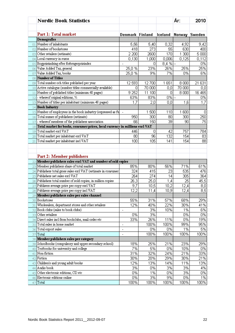|              | <b>Nordic Book Statistics</b>                                                           |                              |        |          | År:     | 2010             |
|--------------|-----------------------------------------------------------------------------------------|------------------------------|--------|----------|---------|------------------|
|              |                                                                                         |                              |        |          |         |                  |
|              | Part 1: Total market                                                                    | Denmark Finland              |        | Iceland  |         | Norway Sweden    |
|              | Demografics                                                                             |                              |        |          |         |                  |
| 01           | Number of inhabitants                                                                   | 5,56                         | 5,40   | 0,32     | 4,92    | 9,42             |
| 02           | Number of bookstores                                                                    | 418                          | 273    | 55       | 630     | 400              |
| 03           | Other retailers (estimate)                                                              | 2 200                        | 2600   | 170      | 1 300   | 5 000            |
| 04           | Local currency in euros                                                                 | 0,130                        | 1,000  | 0,006    | 0,125   | 0,112            |
| 05           | Bogprisändring efter forbrugerprisindex                                                 | $\qquad \qquad \blacksquare$ | 0      | $8,4%$ - |         | 0%               |
| 06           | Value Added Tax, general                                                                | 25,0%                        | 23%    | 26%      | 25%     | 25%              |
| 07           | Value Added Tax, books                                                                  | 25,0%                        | 9%     | 7%       | 0%      | 6%               |
| 08           | Number of Titles                                                                        |                              |        |          |         |                  |
| 09           | Total number och titles published per year                                              | 12 593                       | 12700  | 1651     | 8000    | 21 631           |
| 10           | Active catalogue (number titles commercially available)                                 | ۵                            | 70 000 | 0,0      | 70 000  | 0,0              |
| $\mathbf{1}$ | Number of published titles (minimum 48 pages)                                           | 9 2 5 2                      | 11 100 | 0        | 8 0 0 0 | 16 4 65          |
| 12           | - whereof original editions, %                                                          | 63%                          | 83%    | $0\%$ -  |         | 0%               |
| 13           | Number of titles per inhabitant (minimum 48 pages)                                      | 1,7                          | 2,0    | 0,0      | 1,6     | 1,7              |
| 14           | <b>Book Industry</b>                                                                    |                              |        |          |         |                  |
| 15           | Number of employees in the book industry (expressed as fu                               | $\overline{\phantom{a}}$     | 1500   | 110      | 1 600   | 0                |
| 16           | Total numer of publishers (estimate)                                                    | 950                          | 300    | 80       | 300     | 250              |
| 17           | - whereof members of the publishers association                                         | 66                           | 150    | 39       | 90      | 75               |
| 18           | Total market for books, consumer prices, local currency in millions excl VAT            |                              |        |          |         |                  |
| 19           | Total market excl VAT                                                                   | 446                          | Ω      | 42       | 757     | 784              |
| 20           | Total market per inhabitant excl VAT                                                    | 80                           | 96     | 132      | 154     | 83               |
| 21           | Total market per inhabitant incl VAT                                                    | 100                          | 105    | 141      | 154     | 88               |
| 22           | Part 2: Member publishers<br>Member publishers sales excl VAT and number of sold copies |                              |        |          |         |                  |
| 23           | Member publishers share of total market                                                 | 85%                          | 80%    | 56%      | 71%     | 61%              |
| 24           | Publishers total gross sales excl VAT (estimate in consumer                             | 324                          | 415    | 23       | 535     | 476              |
| 25           | Publishers net sales excl VAT                                                           | 264                          | 274    | 14       | 305     | 364              |
| 26           | Publishers total number of sold copies, in million copies                               | 26,3                         | 25,0   | 1,4      | 25      | 45,5             |
| 27           | Publisers average price per copy excl VAT                                               | 9,7                          | 10,5   | 10,2     | 12,4    | 0,8              |
|              | $28$ Publisers average price per copy incl VAT                                          | 12,2                         | 11,4   | 10,9     | 12,4    | $\overline{8,5}$ |
| 29           | Member publishers sales per sales channel                                               |                              |        |          |         |                  |
| 30           | Bookstores                                                                              | 55%                          | 31%    | 57%      | 68%     | 29%              |
| 31           | Wholesalers, department stores and other retailers                                      | 12%                          | 40%    | 22%      | 30%     | 41%              |
| 32           | Book clubs (sales to book clubs)                                                        | $\overline{a}$               | 3%     | 10%      | 1%      | 6%               |
| 33           | Other retailers                                                                         | 0%                           | 3%     |          | 0%      | 0%               |
| 34           | Direct sales incl from bookclubs, mail-order etc                                        | 33%                          | 26%    | 11%      | 0%      | 19%              |
| 35           | Total sales in home market                                                              | $\overline{\phantom{0}}$     | 100%   | 100%     | 99%     | 95%              |
| 36           | Total export sales                                                                      | $\overline{\phantom{0}}$     | 0%     | 0%       | 1%      | 5%               |
| 37           | Total                                                                                   | $\overline{\phantom{a}}$     | 100%   | 100%     | 100%    | 100%             |
| 38           | Member publishers sales per category                                                    |                              |        |          |         |                  |
| 39           | Schoolbooks (compulsory and upper secondary school)                                     | 18%                          | 25%    | 21%      | 23%     | 29%              |
| 40           | Textbooks for university and college                                                    | 7%                           | 5%     | 0%       | 10%     | 0%               |
| 41           | Non-fiction                                                                             | 31%                          | 32%    | 24%      | 21%     | 33%              |
| 42           | Fiction                                                                                 | 30%                          | 20%    | 29%      | 30%     | 21%              |
| 43           | Children's and young adult books                                                        | 12%                          | 13%    | 14%      | 11%     | 13%              |
| 44           | Audio book                                                                              | 3%                           | 0%     | 3%       | 3%      | 4%               |
| 45           | Other electronic editions, CD etc                                                       | 0%                           | 1%     | 0%       | 3%      | 0%               |
| 46           | Electronic editions online                                                              | 0%                           | 3%     | 9%       | 0%      | 1%               |
| 47           | Total                                                                                   | 100%                         | 100%   | 100%     | 100%    | 100%             |